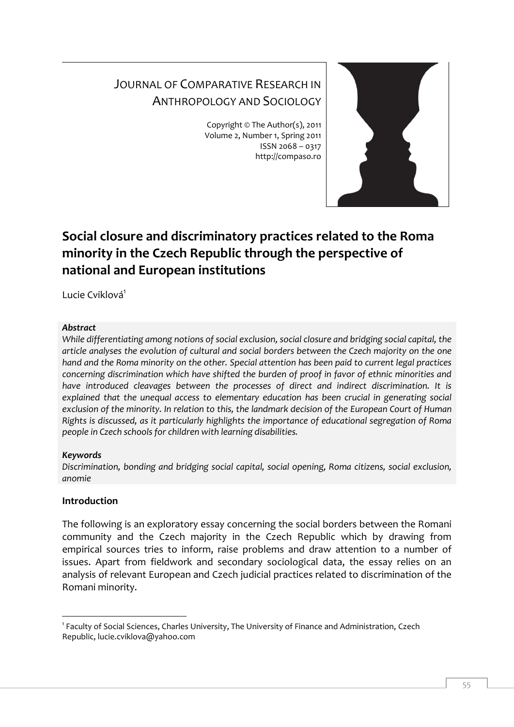# JOURNAL OF COMPARATIVE RESEARCH IN ANTHROPOLOGY AND SOCIOLOGY

Copyright © The Author(s), 2011 Volume 2, Number 1, Spring 2011 ISSN 2068 – 0317 http://compaso.ro



## **Social closure and discriminatory practices related to the Roma minority in the Czech Republic through the perspective of national and European institutions**

Lucie Cviklová<sup>1</sup>

#### *Abstract*

*While differentiating among notions of social exclusion, social closure and bridging social capital, the article analyses the evolution of cultural and social borders between the Czech majority on the one hand and the Roma minority on the other. Special attention has been paid to current legal practices concerning discrimination which have shifted the burden of proof in favor of ethnic minorities and*  have introduced cleavages between the processes of direct and indirect discrimination. It is *explained that the unequal access to elementary education has been crucial in generating social exclusion of the minority. In relation to this, the landmark decision of the European Court of Human Rights is discussed, as it particularly highlights the importance of educational segregation of Roma people in Czech schools for children with learning disabilities.*

### *Keywords*

*Discrimination, bonding and bridging social capital, social opening, Roma citizens, social exclusion, anomie*

### **Introduction**

-

The following is an exploratory essay concerning the social borders between the Romani community and the Czech majority in the Czech Republic which by drawing from empirical sources tries to inform, raise problems and draw attention to a number of issues. Apart from fieldwork and secondary sociological data, the essay relies on an analysis of relevant European and Czech judicial practices related to discrimination of the Romani minority.

<sup>&</sup>lt;sup>1</sup> Faculty of Social Sciences, Charles University, The University of Finance and Administration, Czech Republic, lucie.cviklova@yahoo.com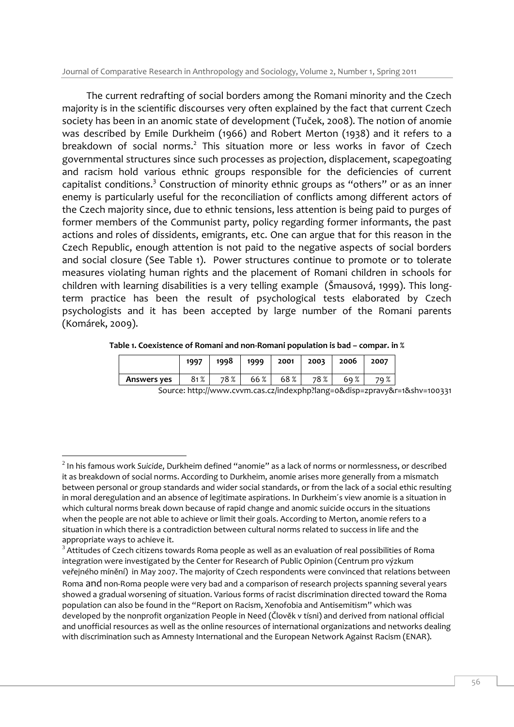Journal of Comparative Research in Anthropology and Sociology, Volume 2, Number 1, Spring 2011

The current redrafting of social borders among the Romani minority and the Czech majority is in the scientific discourses very often explained by the fact that current Czech society has been in an anomic state of development (Tuček, 2008). The notion of anomie was described by Emile Durkheim (1966) and Robert Merton (1938) and it refers to a breakdown of social norms.<sup>2</sup> This situation more or less works in favor of Czech governmental structures since such processes as projection, displacement, scapegoating and racism hold various ethnic groups responsible for the deficiencies of current capitalist conditions.<sup>3</sup> Construction of minority ethnic groups as "others" or as an inner enemy is particularly useful for the reconciliation of conflicts among different actors of the Czech majority since, due to ethnic tensions, less attention is being paid to purges of former members of the Communist party, policy regarding former informants, the past actions and roles of dissidents, emigrants, etc. One can argue that for this reason in the Czech Republic, enough attention is not paid to the negative aspects of social borders and social closure (See Table 1). Power structures continue to promote or to tolerate measures violating human rights and the placement of Romani children in schools for children with learning disabilities is a very telling example (Šmausová, 1999). This longterm practice has been the result of psychological tests elaborated by Czech psychologists and it has been accepted by large number of the Romani parents (Komárek, 2009).

|             | 1997 | 1998 | 1999 | 2001 | 2003 | 2006 | 2007 |  |
|-------------|------|------|------|------|------|------|------|--|
| Answers yes | 81%  | 78%  | 66%  | 68%  | 78%  | 69%  | 79%  |  |

Source: http://www.cvvm.cas.cz/indexphp?lang=0&disp=zpravy&r=1&shv=100331

<sup>2</sup> In his famous work *Suicide*, Durkheim defined "anomie" as a lack of norms or normlessness, or described it as breakdown of social norms. According to Durkheim, anomie arises more generally from a mismatch between personal or group standards and wider social standards, or from the lack of a social ethic resulting in moral deregulation and an absence of legitimate aspirations. In Durkheim´s view anomie is a situation in which cultural norms break down because of rapid change and anomic suicide occurs in the situations when the people are not able to achieve or limit their goals. According to Merton, anomie refers to a situation in which there is a contradiction between cultural norms related to success in life and the appropriate ways to achieve it.

 $3$  Attitudes of Czech citizens towards Roma people as well as an evaluation of real possibilities of Roma integration were investigated by the Center for Research of Public Opinion (Centrum pro výzkum veřejného mínění) in May 2007. The majority of Czech respondents were convinced that relations between Roma and non-Roma people were very bad and a comparison of research projects spanning several years showed a gradual worsening of situation. Various forms of racist discrimination directed toward the Roma population can also be found in the "Report on Racism, Xenofobia and Antisemitism" which was developed by the nonprofit organization People in Need (Člověk v tísni) and derived from national official and unofficial resources as well as the online resources of international organizations and networks dealing with discrimination such as Amnesty International and the European Network Against Racism (ENAR).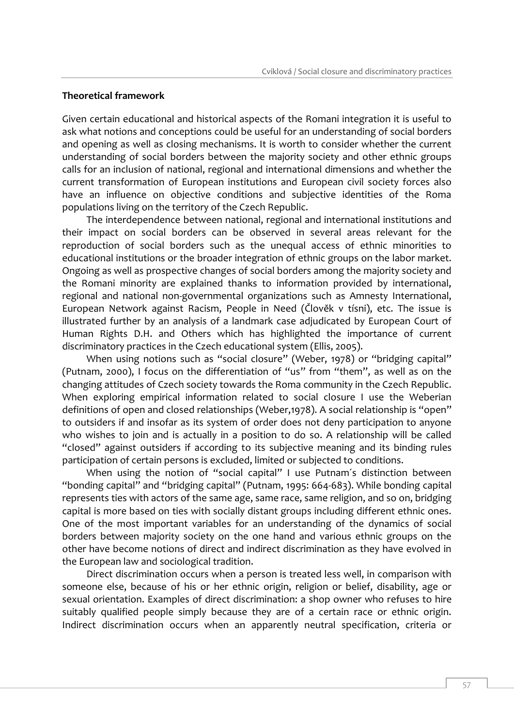#### **Theoretical framework**

Given certain educational and historical aspects of the Romani integration it is useful to ask what notions and conceptions could be useful for an understanding of social borders and opening as well as closing mechanisms. It is worth to consider whether the current understanding of social borders between the majority society and other ethnic groups calls for an inclusion of national, regional and international dimensions and whether the current transformation of European institutions and European civil society forces also have an influence on objective conditions and subjective identities of the Roma populations living on the territory of the Czech Republic.

The interdependence between national, regional and international institutions and their impact on social borders can be observed in several areas relevant for the reproduction of social borders such as the unequal access of ethnic minorities to educational institutions or the broader integration of ethnic groups on the labor market. Ongoing as well as prospective changes of social borders among the majority society and the Romani minority are explained thanks to information provided by international, regional and national non-governmental organizations such as Amnesty International, European Network against Racism, People in Need (Člověk v tísni), etc. The issue is illustrated further by an analysis of a landmark case adjudicated by European Court of Human Rights D.H. and Others which has highlighted the importance of current discriminatory practices in the Czech educational system (Ellis, 2005).

When using notions such as "social closure" (Weber, 1978) or "bridging capital" (Putnam, 2000), I focus on the differentiation of "us" from "them", as well as on the changing attitudes of Czech society towards the Roma community in the Czech Republic. When exploring empirical information related to social closure I use the Weberian definitions of open and closed relationships (Weber,1978). A social relationship is "open" to outsiders if and insofar as its system of order does not deny participation to anyone who wishes to join and is actually in a position to do so. A relationship will be called "closed" against outsiders if according to its subjective meaning and its binding rules participation of certain persons is excluded, limited or subjected to conditions.

When using the notion of "social capital" I use Putnam's distinction between "bonding capital" and "bridging capital" (Putnam, 1995: 664-683). While bonding capital represents ties with actors of the same age, same race, same religion, and so on, bridging capital is more based on ties with socially distant groups including different ethnic ones. One of the most important variables for an understanding of the dynamics of social borders between majority society on the one hand and various ethnic groups on the other have become notions of direct and indirect discrimination as they have evolved in the European law and sociological tradition.

Direct discrimination occurs when a person is treated less well, in comparison with someone else, because of his or her ethnic origin, religion or belief, disability, age or sexual orientation. Examples of direct discrimination: a shop owner who refuses to hire suitably qualified people simply because they are of a certain race or ethnic origin. Indirect discrimination occurs when an apparently neutral specification, criteria or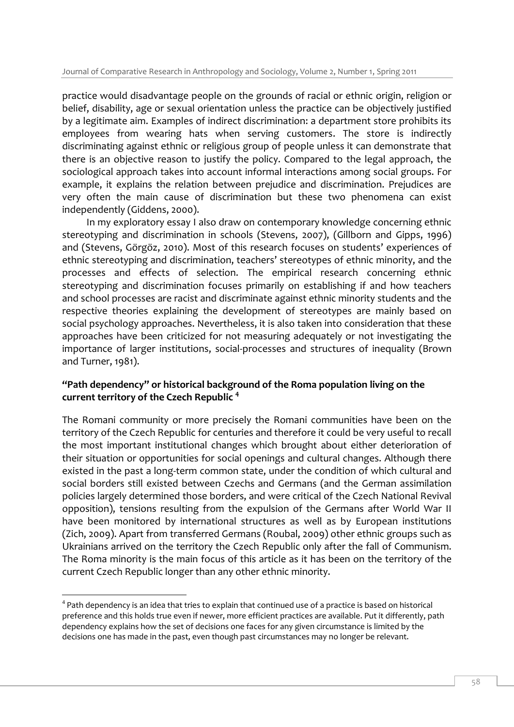practice would disadvantage people on the grounds of racial or ethnic origin, religion or belief, disability, age or sexual orientation unless the practice can be objectively justified by a legitimate aim. Examples of indirect discrimination: a department store prohibits its employees from wearing hats when serving customers. The store is indirectly discriminating against ethnic or religious group of people unless it can demonstrate that there is an objective reason to justify the policy. Compared to the legal approach, the sociological approach takes into account informal interactions among social groups. For example, it explains the relation between prejudice and discrimination. Prejudices are very often the main cause of discrimination but these two phenomena can exist independently (Giddens, 2000).

In my exploratory essay I also draw on contemporary knowledge concerning ethnic stereotyping and discrimination in schools (Stevens, 2007), (Gillborn and Gipps, 1996) and (Stevens, Görgöz, 2010). Most of this research focuses on students' experiences of ethnic stereotyping and discrimination, teachers' stereotypes of ethnic minority, and the processes and effects of selection. The empirical research concerning ethnic stereotyping and discrimination focuses primarily on establishing if and how teachers and school processes are racist and discriminate against ethnic minority students and the respective theories explaining the development of stereotypes are mainly based on social psychology approaches. Nevertheless, it is also taken into consideration that these approaches have been criticized for not measuring adequately or not investigating the importance of larger institutions, social-processes and structures of inequality (Brown and Turner, 1981).

## **"Path dependency" or historical background of the Roma population living on the current territory of the Czech Republic <sup>4</sup>**

The Romani community or more precisely the Romani communities have been on the territory of the Czech Republic for centuries and therefore it could be very useful to recall the most important institutional changes which brought about either deterioration of their situation or opportunities for social openings and cultural changes. Although there existed in the past a long-term common state, under the condition of which cultural and social borders still existed between Czechs and Germans (and the German assimilation policies largely determined those borders, and were critical of the Czech National Revival opposition), tensions resulting from the expulsion of the Germans after World War II have been monitored by international structures as well as by European institutions (Zich, 2009). Apart from transferred Germans (Roubal, 2009) other ethnic groups such as Ukrainians arrived on the territory the Czech Republic only after the fall of Communism. The Roma minority is the main focus of this article as it has been on the territory of the current Czech Republic longer than any other ethnic minority.

<sup>-</sup> $^4$  Path dependency is an idea that tries to explain that continued use of a practice is based on historical preference and this holds true even if newer, more efficient practices are available. Put it differently, path dependency explains how the set of decisions one faces for any given circumstance is limited by the decisions one has made in the past, even though past circumstances may no longer be relevant.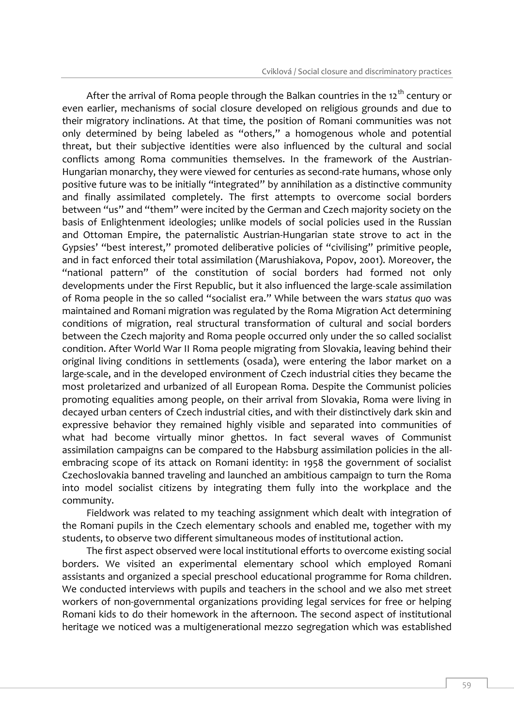After the arrival of Roma people through the Balkan countries in the  $12<sup>th</sup>$  century or even earlier, mechanisms of social closure developed on religious grounds and due to their migratory inclinations. At that time, the position of Romani communities was not only determined by being labeled as "others," a homogenous whole and potential threat, but their subjective identities were also influenced by the cultural and social conflicts among Roma communities themselves. In the framework of the Austrian-Hungarian monarchy, they were viewed for centuries as second-rate humans, whose only positive future was to be initially "integrated" by annihilation as a distinctive community and finally assimilated completely. The first attempts to overcome social borders between "us" and "them" were incited by the German and Czech majority society on the basis of Enlightenment ideologies; unlike models of social policies used in the Russian and Ottoman Empire, the paternalistic Austrian-Hungarian state strove to act in the Gypsies' "best interest," promoted deliberative policies of "civilising" primitive people, and in fact enforced their total assimilation (Marushiakova, Popov, 2001). Moreover, the "national pattern" of the constitution of social borders had formed not only developments under the First Republic, but it also influenced the large-scale assimilation of Roma people in the so called "socialist era." While between the wars *status quo* was maintained and Romani migration was regulated by the Roma Migration Act determining conditions of migration, real structural transformation of cultural and social borders between the Czech majority and Roma people occurred only under the so called socialist condition. After World War II Roma people migrating from Slovakia, leaving behind their original living conditions in settlements (osada), were entering the labor market on a large-scale, and in the developed environment of Czech industrial cities they became the most proletarized and urbanized of all European Roma. Despite the Communist policies promoting equalities among people, on their arrival from Slovakia, Roma were living in decayed urban centers of Czech industrial cities, and with their distinctively dark skin and expressive behavior they remained highly visible and separated into communities of what had become virtually minor ghettos. In fact several waves of Communist assimilation campaigns can be compared to the Habsburg assimilation policies in the allembracing scope of its attack on Romani identity: in 1958 the government of socialist Czechoslovakia banned traveling and launched an ambitious campaign to turn the Roma into model socialist citizens by integrating them fully into the workplace and the community.

Fieldwork was related to my teaching assignment which dealt with integration of the Romani pupils in the Czech elementary schools and enabled me, together with my students, to observe two different simultaneous modes of institutional action.

The first aspect observed were local institutional efforts to overcome existing social borders. We visited an experimental elementary school which employed Romani assistants and organized a special preschool educational programme for Roma children. We conducted interviews with pupils and teachers in the school and we also met street workers of non-governmental organizations providing legal services for free or helping Romani kids to do their homework in the afternoon. The second aspect of institutional heritage we noticed was a multigenerational mezzo segregation which was established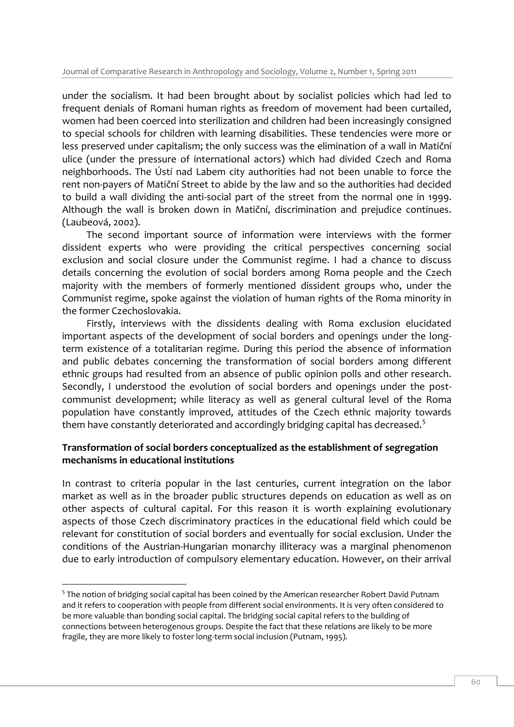under the socialism. It had been brought about by socialist policies which had led to frequent denials of Romani human rights as freedom of movement had been curtailed, women had been coerced into sterilization and children had been increasingly consigned to special schools for children with learning disabilities. These tendencies were more or less preserved under capitalism; the only success was the elimination of a wall in Matiční ulice (under the pressure of international actors) which had divided Czech and Roma neighborhoods. The Ústí nad Labem city authorities had not been unable to force the rent non-payers of Matiční Street to abide by the law and so the authorities had decided to build a wall dividing the anti-social part of the street from the normal one in 1999. Although the wall is broken down in Matiční, discrimination and prejudice continues. (Laubeová, 2002).

The second important source of information were interviews with the former dissident experts who were providing the critical perspectives concerning social exclusion and social closure under the Communist regime. I had a chance to discuss details concerning the evolution of social borders among Roma people and the Czech majority with the members of formerly mentioned dissident groups who, under the Communist regime, spoke against the violation of human rights of the Roma minority in the former Czechoslovakia.

Firstly, interviews with the dissidents dealing with Roma exclusion elucidated important aspects of the development of social borders and openings under the longterm existence of a totalitarian regime. During this period the absence of information and public debates concerning the transformation of social borders among different ethnic groups had resulted from an absence of public opinion polls and other research. Secondly, I understood the evolution of social borders and openings under the postcommunist development; while literacy as well as general cultural level of the Roma population have constantly improved, attitudes of the Czech ethnic majority towards them have constantly deteriorated and accordingly bridging capital has decreased.<sup>5</sup>

## **Transformation of social borders conceptualized as the establishment of segregation mechanisms in educational institutions**

In contrast to criteria popular in the last centuries, current integration on the labor market as well as in the broader public structures depends on education as well as on other aspects of cultural capital. For this reason it is worth explaining evolutionary aspects of those Czech discriminatory practices in the educational field which could be relevant for constitution of social borders and eventually for social exclusion. Under the conditions of the Austrian-Hungarian monarchy illiteracy was a marginal phenomenon due to early introduction of compulsory elementary education. However, on their arrival

<sup>-</sup><sup>5</sup> The notion of bridging social capital has been coined by the American researcher Robert David Putnam and it refers to cooperation with people from different social environments. It is very often considered to be more valuable than bonding social capital. The bridging social capital refers to the building of connections between heterogenous groups. Despite the fact that these relations are likely to be more fragile, they are more likely to foster long-term social inclusion (Putnam, 1995).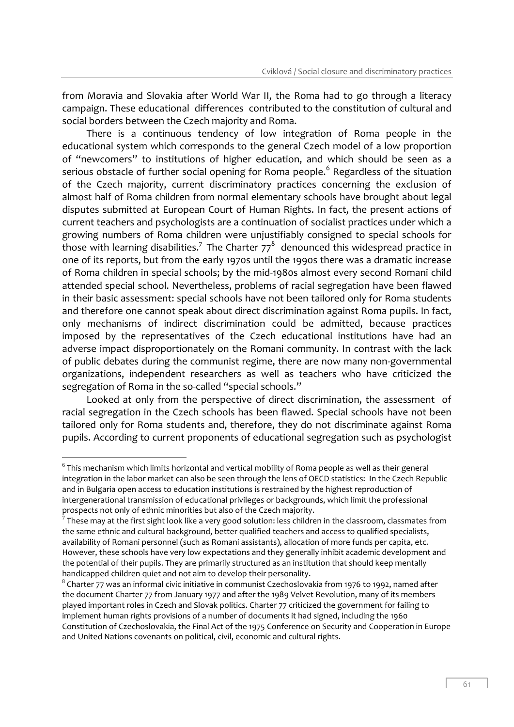from Moravia and Slovakia after World War II, the Roma had to go through a literacy campaign. These educational differences contributed to the constitution of cultural and social borders between the Czech majority and Roma.

There is a continuous tendency of low integration of Roma people in the educational system which corresponds to the general Czech model of a low proportion of "newcomers" to institutions of higher education, and which should be seen as a serious obstacle of further social opening for Roma people.<sup>6</sup> Regardless of the situation of the Czech majority, current discriminatory practices concerning the exclusion of almost half of Roma children from normal elementary schools have brought about legal disputes submitted at European Court of Human Rights. In fact, the present actions of current teachers and psychologists are a continuation of socialist practices under which a growing numbers of Roma children were unjustifiably consigned to special schools for those with learning disabilities.<sup>7</sup> The Charter 77 $^8$  denounced this widespread practice in one of its reports, but from the early 1970s until the 1990s there was a dramatic increase of Roma children in special schools; by the mid-1980s almost every second Romani child attended special school. Nevertheless, problems of racial segregation have been flawed in their basic assessment: special schools have not been tailored only for Roma students and therefore one cannot speak about direct discrimination against Roma pupils. In fact, only mechanisms of indirect discrimination could be admitted, because practices imposed by the representatives of the Czech educational institutions have had an adverse impact disproportionately on the Romani community. In contrast with the lack of public debates during the communist regime, there are now many non-governmental organizations, independent researchers as well as teachers who have criticized the segregation of Roma in the so-called "special schools."

Looked at only from the perspective of direct discrimination, the assessment of racial segregation in the Czech schools has been flawed. Special schools have not been tailored only for Roma students and, therefore, they do not discriminate against Roma pupils. According to current proponents of educational segregation such as psychologist

 $^6$ This mechanism which limits horizontal and vertical mobility of Roma people as well as their general integration in the labor market can also be seen through the lens of OECD statistics: In the Czech Republic and in Bulgaria open access to education institutions is restrained by the highest reproduction of intergenerational transmission of educational privileges or backgrounds, which limit the professional prospects not only of ethnic minorities but also of the Czech majority.

 $^7$  These may at the first sight look like a very good solution: less children in the classroom, classmates from the same ethnic and cultural background, better qualified teachers and access to qualified specialists, availability of Romani personnel (such as Romani assistants), allocation of more funds per capita, etc. However, these schools have very low expectations and they generally inhibit academic development and the potential of their pupils. They are primarily structured as an institution that should keep mentally handicapped children quiet and not aim to develop their personality.

 $^8$  Charter 77 was an informal civic initiative in communist Czechoslovakia from 1976 to 1992, named after the document Charter 77 from January 1977 and after the 1989 Velvet Revolution, many of its members played important roles in Czech and Slovak politics. Charter 77 criticized the government for failing to implement human rights provisions of a number of documents it had signed, including the 1960 Constitution of Czechoslovakia, the Final Act of the 1975 Conference on Security and Cooperation in Europe and United Nations covenants on political, civil, economic and cultural rights.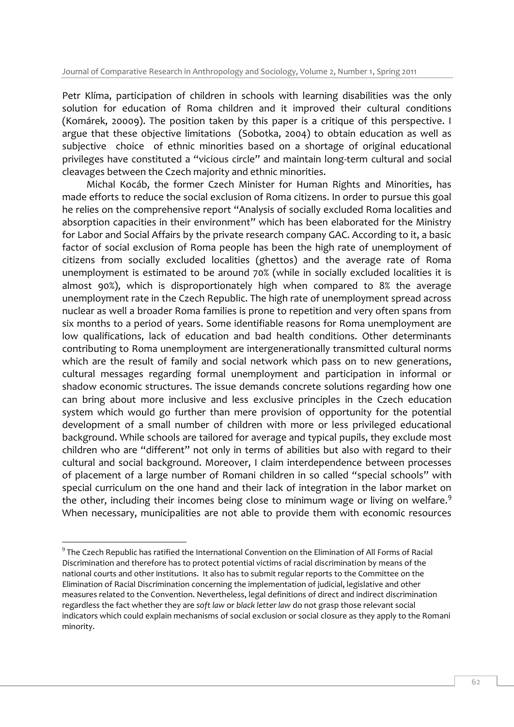Petr Klíma, participation of children in schools with learning disabilities was the only solution for education of Roma children and it improved their cultural conditions (Komárek, 20009). The position taken by this paper is a critique of this perspective. I argue that these objective limitations (Sobotka, 2004) to obtain education as well as subjective choice of ethnic minorities based on a shortage of original educational privileges have constituted a "vicious circle" and maintain long-term cultural and social cleavages between the Czech majority and ethnic minorities.

Michal Kocáb, the former Czech Minister for Human Rights and Minorities, has made efforts to reduce the social exclusion of Roma citizens. In order to pursue this goal he relies on the comprehensive report "Analysis of socially excluded Roma localities and absorption capacities in their environment" which has been elaborated for the Ministry for Labor and Social Affairs by the private research company GAC. According to it, a basic factor of social exclusion of Roma people has been the high rate of unemployment of citizens from socially excluded localities (ghettos) and the average rate of Roma unemployment is estimated to be around 70% (while in socially excluded localities it is almost 90%), which is disproportionately high when compared to 8% the average unemployment rate in the Czech Republic. The high rate of unemployment spread across nuclear as well a broader Roma families is prone to repetition and very often spans from six months to a period of years. Some identifiable reasons for Roma unemployment are low qualifications, lack of education and bad health conditions. Other determinants contributing to Roma unemployment are intergenerationally transmitted cultural norms which are the result of family and social network which pass on to new generations, cultural messages regarding formal unemployment and participation in informal or shadow economic structures. The issue demands concrete solutions regarding how one can bring about more inclusive and less exclusive principles in the Czech education system which would go further than mere provision of opportunity for the potential development of a small number of children with more or less privileged educational background. While schools are tailored for average and typical pupils, they exclude most children who are "different" not only in terms of abilities but also with regard to their cultural and social background. Moreover, I claim interdependence between processes of placement of a large number of Romani children in so called "special schools" with special curriculum on the one hand and their lack of integration in the labor market on the other, including their incomes being close to minimum wage or living on welfare.<sup>9</sup> When necessary, municipalities are not able to provide them with economic resources

 $^9$  The Czech Republic has ratified the International Convention on the Elimination of All Forms of Racial Discrimination and therefore has to protect potential victims of racial discrimination by means of the national courts and other institutions. It also has to submit regular reports to the Committee on the Elimination of Racial Discrimination concerning the implementation of judicial, legislative and other measures related to the Convention. Nevertheless, legal definitions of direct and indirect discrimination regardless the fact whether they are *soft law* or *black letter law* do not grasp those relevant social indicators which could explain mechanisms of social exclusion or social closure as they apply to the Romani minority.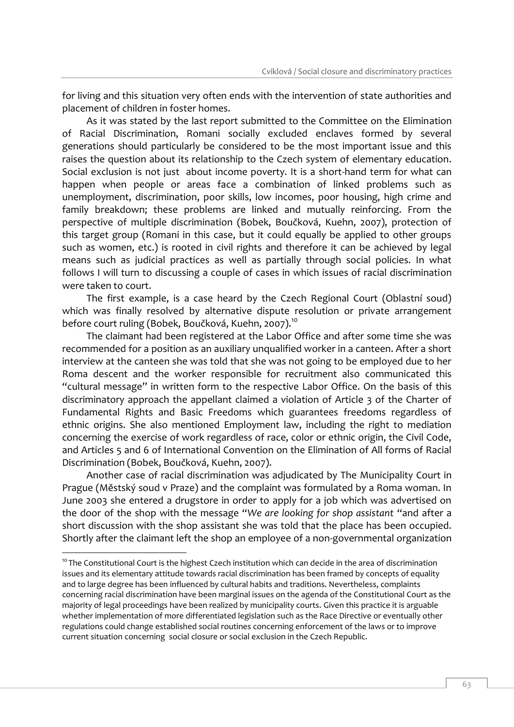for living and this situation very often ends with the intervention of state authorities and placement of children in foster homes.

As it was stated by the last report submitted to the Committee on the Elimination of Racial Discrimination, Romani socially excluded enclaves formed by several generations should particularly be considered to be the most important issue and this raises the question about its relationship to the Czech system of elementary education. Social exclusion is not just about income poverty. It is a short-hand term for what can happen when people or areas face a combination of linked problems such as unemployment, discrimination, poor skills, low incomes, poor housing, high crime and family breakdown; these problems are linked and mutually reinforcing. From the perspective of multiple discrimination (Bobek, Boučková, Kuehn, 2007), protection of this target group (Romani in this case, but it could equally be applied to other groups such as women, etc.) is rooted in civil rights and therefore it can be achieved by legal means such as judicial practices as well as partially through social policies. In what follows I will turn to discussing a couple of cases in which issues of racial discrimination were taken to court.

The first example, is a case heard by the Czech Regional Court (Oblastní soud) which was finally resolved by alternative dispute resolution or private arrangement before court ruling (Bobek, Boučková, Kuehn, 2007).<sup>10</sup>

The claimant had been registered at the Labor Office and after some time she was recommended for a position as an auxiliary unqualified worker in a canteen. After a short interview at the canteen she was told that she was not going to be employed due to her Roma descent and the worker responsible for recruitment also communicated this "cultural message" in written form to the respective Labor Office. On the basis of this discriminatory approach the appellant claimed a violation of Article 3 of the Charter of Fundamental Rights and Basic Freedoms which guarantees freedoms regardless of ethnic origins. She also mentioned Employment law, including the right to mediation concerning the exercise of work regardless of race, color or ethnic origin, the Civil Code, and Articles 5 and 6 of International Convention on the Elimination of All forms of Racial Discrimination (Bobek, Boučková, Kuehn, 2007).

Another case of racial discrimination was adjudicated by The Municipality Court in Prague (Městský soud v Praze) and the complaint was formulated by a Roma woman. In June 2003 she entered a drugstore in order to apply for a job which was advertised on the door of the shop with the message "*We are looking for shop assistant* "and after a short discussion with the shop assistant she was told that the place has been occupied. Shortly after the claimant left the shop an employee of a non-governmental organization

 $10$  The Constitutional Court is the highest Czech institution which can decide in the area of discrimination issues and its elementary attitude towards racial discrimination has been framed by concepts of equality and to large degree has been influenced by cultural habits and traditions. Nevertheless, complaints concerning racial discrimination have been marginal issues on the agenda of the Constitutional Court as the majority of legal proceedings have been realized by municipality courts. Given this practice it is arguable whether implementation of more differentiated legislation such as the Race Directive or eventually other regulations could change established social routines concerning enforcement of the laws or to improve current situation concerning social closure or social exclusion in the Czech Republic.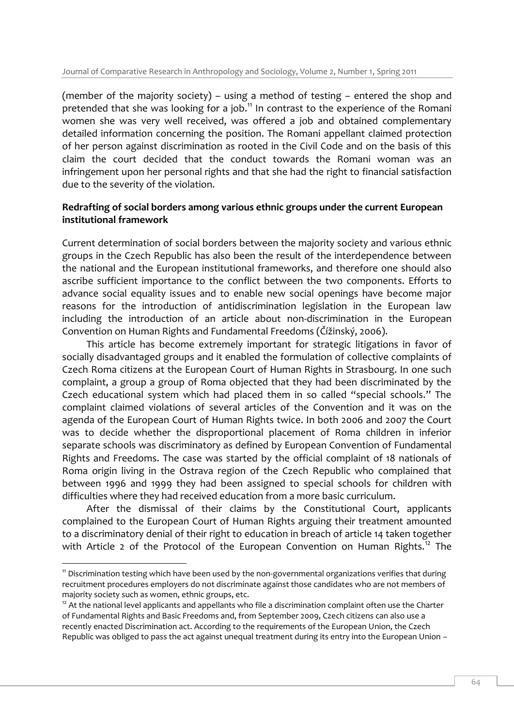(member of the majority society) – using a method of testing – entered the shop and pretended that she was looking for a job.<sup>11</sup> In contrast to the experience of the Romani women she was very well received, was offered a job and obtained complementary detailed information concerning the position. The Romani appellant claimed protection of her person against discrimination as rooted in the Civil Code and on the basis of this claim the court decided that the conduct towards the Romani woman was an infringement upon her personal rights and that she had the right to financial satisfaction due to the severity of the violation.

## **Redrafting of social borders among various ethnic groups under the current European institutional framework**

Current determination of social borders between the majority society and various ethnic groups in the Czech Republic has also been the result of the interdependence between the national and the European institutional frameworks, and therefore one should also ascribe sufficient importance to the conflict between the two components. Efforts to advance social equality issues and to enable new social openings have become major reasons for the introduction of antidiscrimination legislation in the European law including the introduction of an article about non-discrimination in the European Convention on Human Rights and Fundamental Freedoms (Čížinský, 2006).

This article has become extremely important for strategic litigations in favor of socially disadvantaged groups and it enabled the formulation of collective complaints of Czech Roma citizens at the European Court of Human Rights in Strasbourg. In one such complaint, a group a group of Roma objected that they had been discriminated by the Czech educational system which had placed them in so called "special schools." The complaint claimed violations of several articles of the Convention and it was on the agenda of the European Court of Human Rights twice. In both 2006 and 2007 the Court was to decide whether the disproportional placement of Roma children in inferior separate schools was discriminatory as defined by European Convention of Fundamental Rights and Freedoms. The case was started by the official complaint of 18 nationals of Roma origin living in the Ostrava region of the Czech Republic who complained that between 1996 and 1999 they had been assigned to special schools for children with difficulties where they had received education from a more basic curriculum.

After the dismissal of their claims by the Constitutional Court, applicants complained to the European Court of Human Rights arguing their treatment amounted to a discriminatory denial of their right to education in breach of article 14 taken together with Article 2 of the Protocol of the European Convention on Human Rights.<sup>12</sup> The

<sup>&</sup>lt;sup>11</sup> Discrimination testing which have been used by the non-governmental organizations verifies that during recruitment procedures employers do not discriminate against those candidates who are not members of majority society such as women, ethnic groups, etc.

<sup>&</sup>lt;sup>12</sup> At the national level applicants and appellants who file a discrimination complaint often use the Charter of Fundamental Rights and Basic Freedoms and, from September 2009, Czech citizens can also use a recently enacted Discrimination act. According to the requirements of the European Union, the Czech Republic was obliged to pass the act against unequal treatment during its entry into the European Union –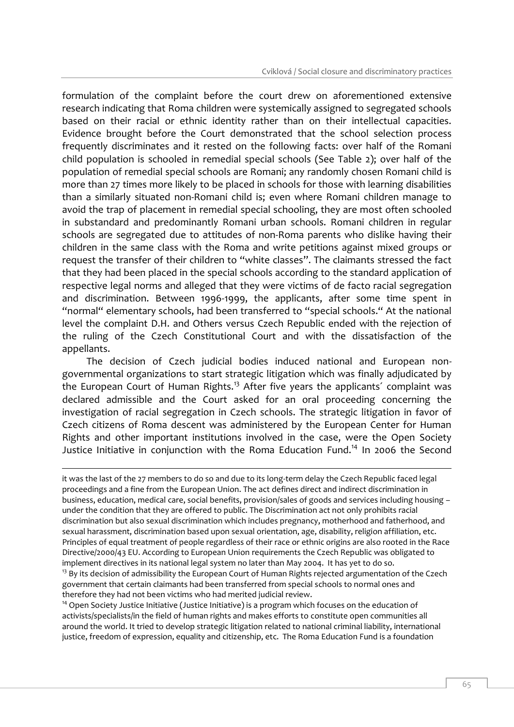formulation of the complaint before the court drew on aforementioned extensive research indicating that Roma children were systemically assigned to segregated schools based on their racial or ethnic identity rather than on their intellectual capacities. Evidence brought before the Court demonstrated that the school selection process frequently discriminates and it rested on the following facts: over half of the Romani child population is schooled in remedial special schools (See Table 2); over half of the population of remedial special schools are Romani; any randomly chosen Romani child is more than 27 times more likely to be placed in schools for those with learning disabilities than a similarly situated non-Romani child is; even where Romani children manage to avoid the trap of placement in remedial special schooling, they are most often schooled in substandard and predominantly Romani urban schools. Romani children in regular schools are segregated due to attitudes of non-Roma parents who dislike having their children in the same class with the Roma and write petitions against mixed groups or request the transfer of their children to "white classes". The claimants stressed the fact that they had been placed in the special schools according to the standard application of respective legal norms and alleged that they were victims of de facto racial segregation and discrimination. Between 1996-1999, the applicants, after some time spent in "normal" elementary schools, had been transferred to "special schools." At the national level the complaint D.H. and Others versus Czech Republic ended with the rejection of the ruling of the Czech Constitutional Court and with the dissatisfaction of the appellants.

The decision of Czech judicial bodies induced national and European nongovernmental organizations to start strategic litigation which was finally adjudicated by the European Court of Human Rights.<sup>13</sup> After five years the applicants' complaint was declared admissible and the Court asked for an oral proceeding concerning the investigation of racial segregation in Czech schools. The strategic litigation in favor of Czech citizens of Roma descent was administered by the European Center for Human Rights and other important institutions involved in the case, were the Open Society Justice Initiative in conjunction with the Roma Education Fund.<sup>14</sup> In 2006 the Second

it was the last of the 27 members to do so and due to its long-term delay the Czech Republic faced legal proceedings and a fine from the European Union. The act defines direct and indirect discrimination in business, education, medical care, social benefits, provision/sales of goods and services including housing – under the condition that they are offered to public. The Discrimination act not only prohibits racial discrimination but also sexual discrimination which includes pregnancy, motherhood and fatherhood, and sexual harassment, discrimination based upon sexual orientation, age, disability, religion affiliation, etc. Principles of equal treatment of people regardless of their race or ethnic origins are also rooted in the Race Directive/2000/43 EU. According to European Union requirements the Czech Republic was obligated to implement directives in its national legal system no later than May 2004. It has yet to do so.

-

<sup>13</sup> By its decision of admissibility the European Court of Human Rights rejected argumentation of the Czech government that certain claimants had been transferred from special schools to normal ones and therefore they had not been victims who had merited judicial review.

<sup>14</sup> Open Society Justice Initiative (Justice Initiative) is a program which focuses on the education of activists/specialists/in the field of human rights and makes efforts to constitute open communities all around the world. It tried to develop strategic litigation related to national criminal liability, international justice, freedom of expression, equality and citizenship, etc. The Roma Education Fund is a foundation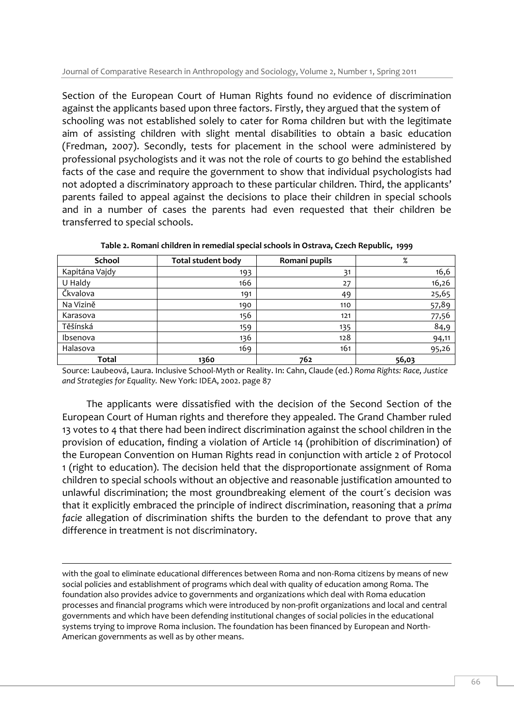Section of the European Court of Human Rights found no evidence of discrimination against the applicants based upon three factors. Firstly, they argued that the system of schooling was not established solely to cater for Roma children but with the legitimate aim of assisting children with slight mental disabilities to obtain a basic education (Fredman, 2007). Secondly, tests for placement in the school were administered by professional psychologists and it was not the role of courts to go behind the established facts of the case and require the government to show that individual psychologists had not adopted a discriminatory approach to these particular children. Third, the applicants' parents failed to appeal against the decisions to place their children in special schools and in a number of cases the parents had even requested that their children be transferred to special schools.

| <b>School</b>  | <b>Total student body</b> | Romani pupils | %     |
|----------------|---------------------------|---------------|-------|
| Kapitána Vajdy | 193                       | 31            | 16,6  |
| U Haldy        | 166                       | 27            | 16,26 |
| Čkvalova       | 191                       | 49            | 25,65 |
| Na Vizině      | 190                       | 110           | 57,89 |
| Karasova       | 156                       | 121           | 77,56 |
| Těšínská       | 159                       | 135           | 84,9  |
| Ibsenova       | 136                       | 128           | 94,11 |
| Halasova       | 169                       | 161           | 95,26 |
| Total          | 1360                      | 762           | 56,03 |

**Table 2. Romani children in remedial special schools in Ostrava, Czech Republic, 1999**

Source: Laubeová, Laura. Inclusive School-Myth or Reality. In: Cahn, Claude (ed.) *Roma Rights: Race, Justice and Strategies for Equality.* New York: IDEA, 2002. page 87

The applicants were dissatisfied with the decision of the Second Section of the European Court of Human rights and therefore they appealed. The Grand Chamber ruled 13 votes to 4 that there had been indirect discrimination against the school children in the provision of education, finding a violation of Article 14 (prohibition of discrimination) of the European Convention on Human Rights read in conjunction with article 2 of Protocol 1 (right to education). The decision held that the disproportionate assignment of Roma children to special schools without an objective and reasonable justification amounted to unlawful discrimination; the most groundbreaking element of the court´s decision was that it explicitly embraced the principle of indirect discrimination, reasoning that a *prima facie* allegation of discrimination shifts the burden to the defendant to prove that any difference in treatment is not discriminatory.

with the goal to eliminate educational differences between Roma and non-Roma citizens by means of new social policies and establishment of programs which deal with quality of education among Roma. The foundation also provides advice to governments and organizations which deal with Roma education processes and financial programs which were introduced by non-profit organizations and local and central governments and which have been defending institutional changes of social policies in the educational systems trying to improve Roma inclusion. The foundation has been financed by European and North-American governments as well as by other means.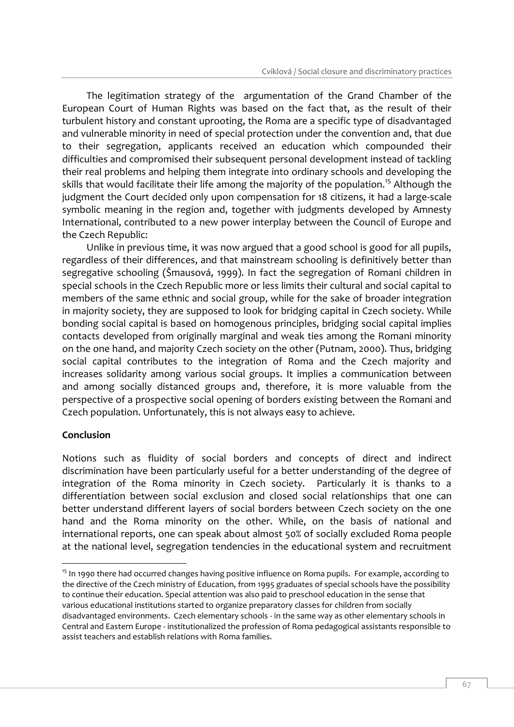The legitimation strategy of the argumentation of the Grand Chamber of the European Court of Human Rights was based on the fact that, as the result of their turbulent history and constant uprooting, the Roma are a specific type of disadvantaged and vulnerable minority in need of special protection under the convention and, that due to their segregation, applicants received an education which compounded their difficulties and compromised their subsequent personal development instead of tackling their real problems and helping them integrate into ordinary schools and developing the skills that would facilitate their life among the majority of the population.<sup>15</sup> Although the judgment the Court decided only upon compensation for 18 citizens, it had a large-scale symbolic meaning in the region and, together with judgments developed by Amnesty International, contributed to a new power interplay between the Council of Europe and the Czech Republic:

Unlike in previous time, it was now argued that a good school is good for all pupils, regardless of their differences, and that mainstream schooling is definitively better than segregative schooling (Šmausová, 1999). In fact the segregation of Romani children in special schools in the Czech Republic more or less limits their cultural and social capital to members of the same ethnic and social group, while for the sake of broader integration in majority society, they are supposed to look for bridging capital in Czech society. While bonding social capital is based on homogenous principles, bridging social capital implies contacts developed from originally marginal and weak ties among the Romani minority on the one hand, and majority Czech society on the other (Putnam, 2000). Thus, bridging social capital contributes to the integration of Roma and the Czech majority and increases solidarity among various social groups. It implies a communication between and among socially distanced groups and, therefore, it is more valuable from the perspective of a prospective social opening of borders existing between the Romani and Czech population. Unfortunately, this is not always easy to achieve.

#### **Conclusion**

-

Notions such as fluidity of social borders and concepts of direct and indirect discrimination have been particularly useful for a better understanding of the degree of integration of the Roma minority in Czech society. Particularly it is thanks to a differentiation between social exclusion and closed social relationships that one can better understand different layers of social borders between Czech society on the one hand and the Roma minority on the other. While, on the basis of national and international reports, one can speak about almost 50% of socially excluded Roma people at the national level, segregation tendencies in the educational system and recruitment

<sup>&</sup>lt;sup>15</sup> In 1990 there had occurred changes having positive influence on Roma pupils. For example, according to the directive of the Czech ministry of Education, from 1995 graduates of special schools have the possibility to continue their education. Special attention was also paid to preschool education in the sense that various educational institutions started to organize preparatory classes for children from socially disadvantaged environments. Czech elementary schools - in the same way as other elementary schools in Central and Eastern Europe - institutionalized the profession of Roma pedagogical assistants responsible to assist teachers and establish relations with Roma families.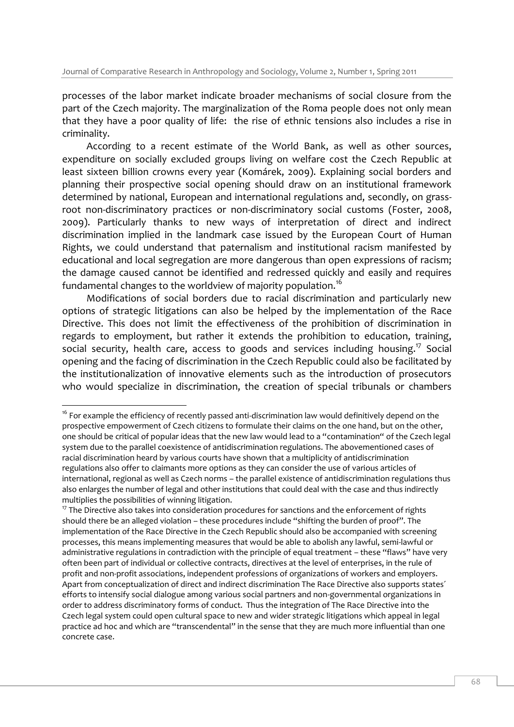processes of the labor market indicate broader mechanisms of social closure from the part of the Czech majority. The marginalization of the Roma people does not only mean that they have a poor quality of life: the rise of ethnic tensions also includes a rise in criminality.

According to a recent estimate of the World Bank, as well as other sources, expenditure on socially excluded groups living on welfare cost the Czech Republic at least sixteen billion crowns every year (Komárek, 2009). Explaining social borders and planning their prospective social opening should draw on an institutional framework determined by national, European and international regulations and, secondly, on grassroot non-discriminatory practices or non-discriminatory social customs (Foster, 2008, 2009). Particularly thanks to new ways of interpretation of direct and indirect discrimination implied in the landmark case issued by the European Court of Human Rights, we could understand that paternalism and institutional racism manifested by educational and local segregation are more dangerous than open expressions of racism; the damage caused cannot be identified and redressed quickly and easily and requires fundamental changes to the worldview of majority population.<sup>16</sup>

Modifications of social borders due to racial discrimination and particularly new options of strategic litigations can also be helped by the implementation of the Race Directive. This does not limit the effectiveness of the prohibition of discrimination in regards to employment, but rather it extends the prohibition to education, training, social security, health care, access to goods and services including housing.<sup>17</sup> Social opening and the facing of discrimination in the Czech Republic could also be facilitated by the institutionalization of innovative elements such as the introduction of prosecutors who would specialize in discrimination, the creation of special tribunals or chambers

<sup>-</sup><sup>16</sup> For example the efficiency of recently passed anti-discrimination law would definitively depend on the prospective empowerment of Czech citizens to formulate their claims on the one hand, but on the other, one should be critical of popular ideas that the new law would lead to a "contamination" of the Czech legal system due to the parallel coexistence of antidiscrimination regulations. The abovementioned cases of racial discrimination heard by various courts have shown that a multiplicity of antidiscrimination regulations also offer to claimants more options as they can consider the use of various articles of international, regional as well as Czech norms – the parallel existence of antidiscrimination regulations thus also enlarges the number of legal and other institutions that could deal with the case and thus indirectly multiplies the possibilities of winning litigation.

 $17$  The Directive also takes into consideration procedures for sanctions and the enforcement of rights should there be an alleged violation – these procedures include "shifting the burden of proof". The implementation of the Race Directive in the Czech Republic should also be accompanied with screening processes, this means implementing measures that would be able to abolish any lawful, semi-lawful or administrative regulations in contradiction with the principle of equal treatment – these "flaws" have very often been part of individual or collective contracts, directives at the level of enterprises, in the rule of profit and non-profit associations, independent professions of organizations of workers and employers. Apart from conceptualization of direct and indirect discrimination The Race Directive also supports states´ efforts to intensify social dialogue among various social partners and non-governmental organizations in order to address discriminatory forms of conduct. Thus the integration of The Race Directive into the Czech legal system could open cultural space to new and wider strategic litigations which appeal in legal practice ad hoc and which are "transcendental" in the sense that they are much more influential than one concrete case.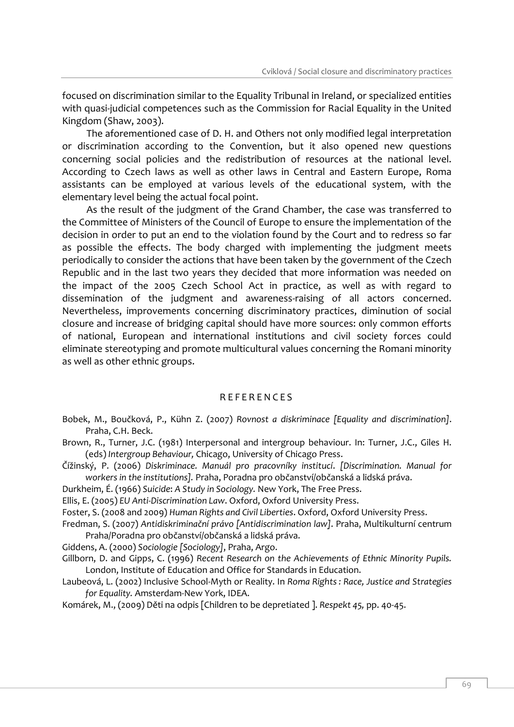focused on discrimination similar to the Equality Tribunal in Ireland, or specialized entities with quasi-judicial competences such as the Commission for Racial Equality in the United Kingdom (Shaw, 2003).

The aforementioned case of D. H. and Others not only modified legal interpretation or discrimination according to the Convention, but it also opened new questions concerning social policies and the redistribution of resources at the national level. According to Czech laws as well as other laws in Central and Eastern Europe, Roma assistants can be employed at various levels of the educational system, with the elementary level being the actual focal point.

As the result of the judgment of the Grand Chamber, the case was transferred to the Committee of Ministers of the Council of Europe to ensure the implementation of the decision in order to put an end to the violation found by the Court and to redress so far as possible the effects. The body charged with implementing the judgment meets periodically to consider the actions that have been taken by the government of the Czech Republic and in the last two years they decided that more information was needed on the impact of the 2005 Czech School Act in practice, as well as with regard to dissemination of the judgment and awareness-raising of all actors concerned. Nevertheless, improvements concerning discriminatory practices, diminution of social closure and increase of bridging capital should have more sources: only common efforts of national, European and international institutions and civil society forces could eliminate stereotyping and promote multicultural values concerning the Romani minority as well as other ethnic groups.

#### **REFERENCES**

Bobek, M., Boučková, P., Kühn Z. (2007) *Rovnost a diskriminace [Equality and discrimination]*. Praha, C.H. Beck.

Brown, R., Turner, J.C. (1981) Interpersonal and intergroup behaviour. In: Turner, J.C., Giles H. (eds) *Intergroup Behaviour,* Chicago, University of Chicago Press.

Čížinský, P. (2006) *Diskriminace. Manuál pro pracovníky institucí*. *[Discrimination. Manual for workers in the institutions].* Praha, Poradna pro občanství/občanská a lidská práva.

Durkheim, É. (1966) *Suicide*: *A Study in Sociology.* New York, The Free Press.

Ellis, E. (2005) *EU Anti-Discrimination Law*. Oxford, Oxford University Press.

Foster, S. (2008 and 2009) *Human Rights and Civil Liberties*. Oxford, Oxford University Press.

Fredman, S. (2007) *Antidiskriminační právo [Antidiscrimination law]*. Praha, Multikulturní centrum Praha/Poradna pro občanství/občanská a lidská práva.

Giddens, A. (2000) *Sociologie [Sociology]*, Praha, Argo.

- Gillborn, D. and Gipps, C. (1996) *Recent Research on the Achievements of Ethnic Minority Pupils.* London, Institute of Education and Office for Standards in Education.
- Laubeová, L. (2002) Inclusive School-Myth or Reality. In *Roma Rights : Race, Justice and Strategies for Equality.* Amsterdam-New York, IDEA.

Komárek, M., (2009) Děti na odpis [Children to be depretiated ]. *Respekt 45,* pp. 40-45.